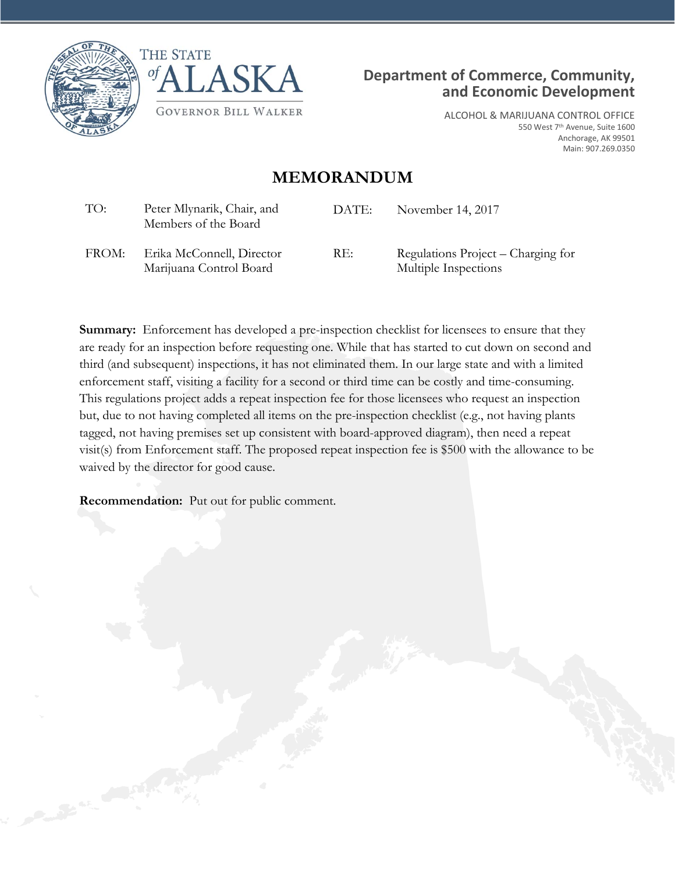





ALCOHOL & MARIJUANA CONTROL OFFICE 550 West 7th Avenue, Suite 1600 Anchorage, AK 99501 Main: 907.269.0350

## **MEMORANDUM**

| TO:   | Peter Mlynarik, Chair, and<br>Members of the Board   | DATE: | November 14, 2017                                          |
|-------|------------------------------------------------------|-------|------------------------------------------------------------|
| FROM: | Erika McConnell, Director<br>Marijuana Control Board | RE:   | Regulations Project – Charging for<br>Multiple Inspections |

**Summary:** Enforcement has developed a pre-inspection checklist for licensees to ensure that they are ready for an inspection before requesting one. While that has started to cut down on second and third (and subsequent) inspections, it has not eliminated them. In our large state and with a limited enforcement staff, visiting a facility for a second or third time can be costly and time-consuming. This regulations project adds a repeat inspection fee for those licensees who request an inspection but, due to not having completed all items on the pre-inspection checklist (e.g., not having plants tagged, not having premises set up consistent with board-approved diagram), then need a repeat visit(s) from Enforcement staff. The proposed repeat inspection fee is \$500 with the allowance to be waived by the director for good cause.

**Recommendation:** Put out for public comment.